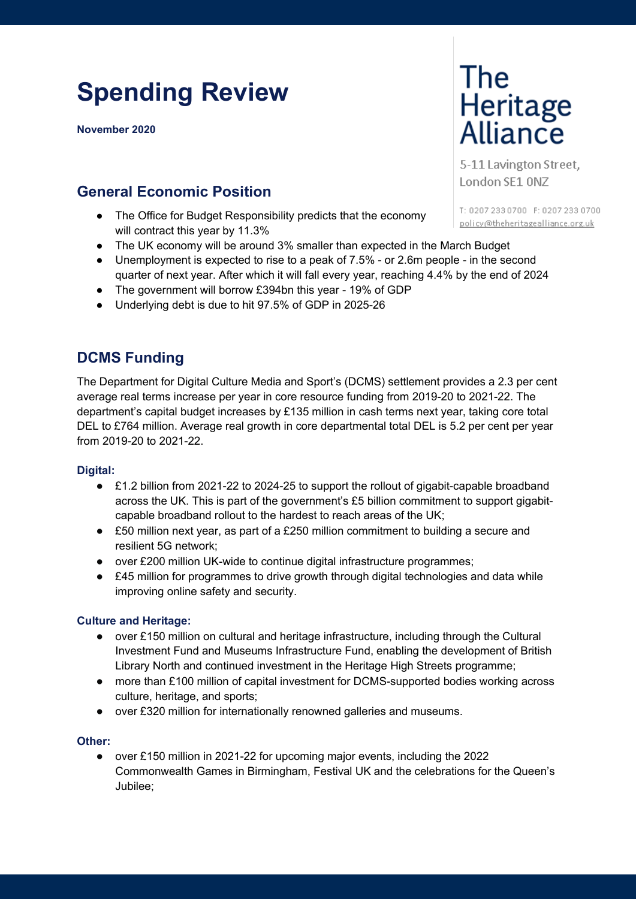# **Spending Review**

**November 2020**

## **General Economic Position**

- The Office for Budget Responsibility predicts that the economy will contract this year by 11.3%
- The UK economy will be around 3% smaller than expected in the March Budget
- Unemployment is expected to rise to a peak of 7.5% or 2.6m people in the second quarter of next year. After which it will fall every year, reaching 4.4% by the end of 2024
- The government will borrow £394bn this year 19% of GDP
- Underlying debt is due to hit 97.5% of GDP in 2025-26

## **DCMS Funding**

The Department for Digital Culture Media and Sport's (DCMS) settlement provides a 2.3 per cent average real terms increase per year in core resource funding from 2019-20 to 2021-22. The department's capital budget increases by £135 million in cash terms next year, taking core total DEL to £764 million. Average real growth in core departmental total DEL is 5.2 per cent per year from 2019-20 to 2021-22.

#### **Digital:**

- £1.2 billion from 2021-22 to 2024-25 to support the rollout of gigabit-capable broadband across the UK. This is part of the government's £5 billion commitment to support gigabitcapable broadband rollout to the hardest to reach areas of the UK;
- £50 million next year, as part of a £250 million commitment to building a secure and resilient 5G network;
- over £200 million UK-wide to continue digital infrastructure programmes;
- £45 million for programmes to drive growth through digital technologies and data while improving online safety and security.

#### **Culture and Heritage:**

- over £150 million on cultural and heritage infrastructure, including through the Cultural Investment Fund and Museums Infrastructure Fund, enabling the development of British Library North and continued investment in the Heritage High Streets programme;
- more than £100 million of capital investment for DCMS-supported bodies working across culture, heritage, and sports;
- over £320 million for internationally renowned galleries and museums.

#### **Other:**

● over £150 million in 2021-22 for upcoming major events, including the 2022 Commonwealth Games in Birmingham, Festival UK and the celebrations for the Queen's Jubilee;

# The<br>Heritage<br>Alliance

5-11 Lavington Street, London SE1 ONZ

T: 0207 233 0700 F: 0207 233 0700 policy@theheritagealliance.org.uk